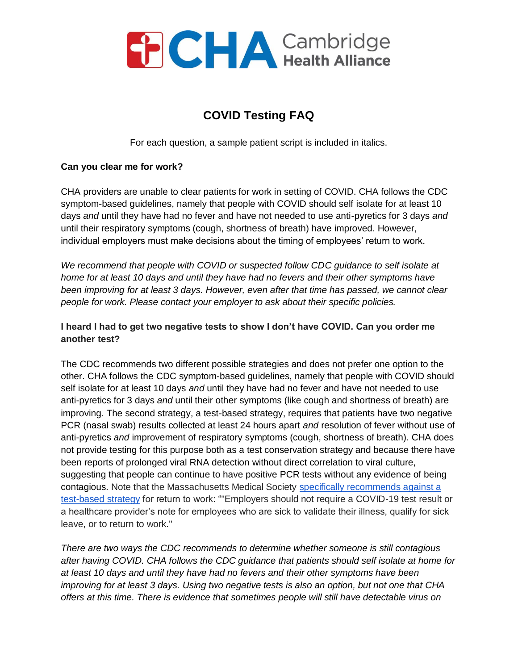

# **COVID Testing FAQ**

For each question, a sample patient script is included in italics.

#### **Can you clear me for work?**

CHA providers are unable to clear patients for work in setting of COVID. CHA follows the CDC symptom-based guidelines, namely that people with COVID should self isolate for at least 10 days *and* until they have had no fever and have not needed to use anti-pyretics for 3 days *and*  until their respiratory symptoms (cough, shortness of breath) have improved. However, individual employers must make decisions about the timing of employees' return to work.

*We recommend that people with COVID or suspected follow CDC guidance to self isolate at home for at least 10 days and until they have had no fevers and their other symptoms have been improving for at least 3 days. However, even after that time has passed, we cannot clear people for work. Please contact your employer to ask about their specific policies.*

## **I heard I had to get two negative tests to show I don't have COVID. Can you order me another test?**

The CDC recommends two different possible strategies and does not prefer one option to the other. CHA follows the CDC symptom-based guidelines, namely that people with COVID should self isolate for at least 10 days *and* until they have had no fever and have not needed to use anti-pyretics for 3 days *and* until their other symptoms (like cough and shortness of breath) are improving. The second strategy, a test-based strategy, requires that patients have two negative PCR (nasal swab) results collected at least 24 hours apart *and* resolution of fever without use of anti-pyretics *and* improvement of respiratory symptoms (cough, shortness of breath). CHA does not provide testing for this purpose both as a test conservation strategy and because there have been reports of prolonged viral RNA detection without direct correlation to viral culture, suggesting that people can continue to have positive PCR tests without any evidence of being contagious. Note that the Massachusetts Medical Society [specifically recommends against a](http://www.massmed.org/Patient-Care/COVID-19/Healthcare-Personnel-Return-to-Work-Guidance-May-7/)  [test-based strategy](http://www.massmed.org/Patient-Care/COVID-19/Healthcare-Personnel-Return-to-Work-Guidance-May-7/) for return to work: ""Employers should not require a COVID-19 test result or a healthcare provider's note for employees who are sick to validate their illness, qualify for sick leave, or to return to work."

*There are two ways the CDC recommends to determine whether someone is still contagious after having COVID. CHA follows the CDC guidance that patients should self isolate at home for at least 10 days and until they have had no fevers and their other symptoms have been improving for at least 3 days. Using two negative tests is also an option, but not one that CHA offers at this time. There is evidence that sometimes people will still have detectable virus on*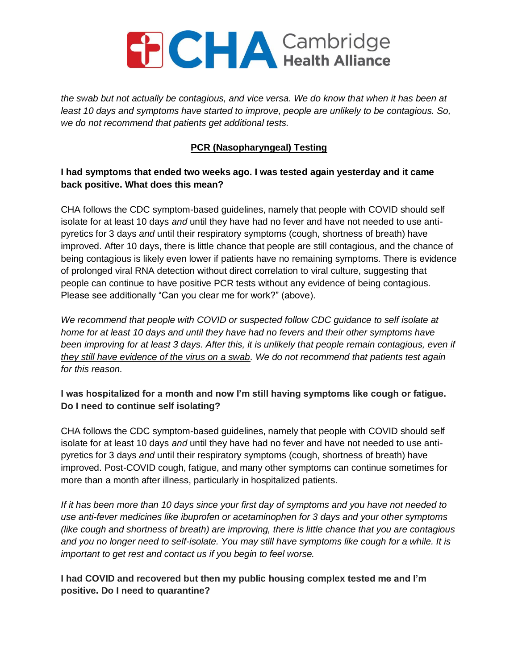*the swab but not actually be contagious, and vice versa. We do know that when it has been at least 10 days and symptoms have started to improve, people are unlikely to be contagious. So, we do not recommend that patients get additional tests.*

# **PCR (Nasopharyngeal) Testing**

## **I had symptoms that ended two weeks ago. I was tested again yesterday and it came back positive. What does this mean?**

CHA follows the CDC symptom-based guidelines, namely that people with COVID should self isolate for at least 10 days *and* until they have had no fever and have not needed to use antipyretics for 3 days *and* until their respiratory symptoms (cough, shortness of breath) have improved. After 10 days, there is little chance that people are still contagious, and the chance of being contagious is likely even lower if patients have no remaining symptoms. There is evidence of prolonged viral RNA detection without direct correlation to viral culture, suggesting that people can continue to have positive PCR tests without any evidence of being contagious. Please see additionally "Can you clear me for work?" (above).

*We recommend that people with COVID or suspected follow CDC guidance to self isolate at home for at least 10 days and until they have had no fevers and their other symptoms have been improving for at least 3 days. After this, it is unlikely that people remain contagious, even if they still have evidence of the virus on a swab. We do not recommend that patients test again for this reason.*

## **I was hospitalized for a month and now I'm still having symptoms like cough or fatigue. Do I need to continue self isolating?**

CHA follows the CDC symptom-based guidelines, namely that people with COVID should self isolate for at least 10 days *and* until they have had no fever and have not needed to use antipyretics for 3 days *and* until their respiratory symptoms (cough, shortness of breath) have improved. Post-COVID cough, fatigue, and many other symptoms can continue sometimes for more than a month after illness, particularly in hospitalized patients.

*If it has been more than 10 days since your first day of symptoms and you have not needed to use anti-fever medicines like ibuprofen or acetaminophen for 3 days and your other symptoms (like cough and shortness of breath) are improving, there is little chance that you are contagious and you no longer need to self-isolate. You may still have symptoms like cough for a while. It is important to get rest and contact us if you begin to feel worse.*

# **I had COVID and recovered but then my public housing complex tested me and I'm positive. Do I need to quarantine?**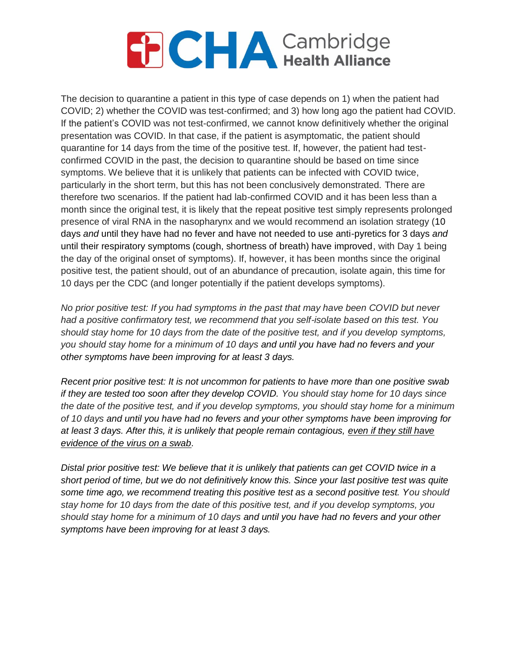The decision to quarantine a patient in this type of case depends on 1) when the patient had COVID; 2) whether the COVID was test-confirmed; and 3) how long ago the patient had COVID. If the patient's COVID was not test-confirmed, we cannot know definitively whether the original presentation was COVID. In that case, if the patient is asymptomatic, the patient should quarantine for 14 days from the time of the positive test. If, however, the patient had testconfirmed COVID in the past, the decision to quarantine should be based on time since symptoms. We believe that it is unlikely that patients can be infected with COVID twice, particularly in the short term, but this has not been conclusively demonstrated. There are therefore two scenarios. If the patient had lab-confirmed COVID and it has been less than a month since the original test, it is likely that the repeat positive test simply represents prolonged presence of viral RNA in the nasopharynx and we would recommend an isolation strategy (10 days *and* until they have had no fever and have not needed to use anti-pyretics for 3 days *and*  until their respiratory symptoms (cough, shortness of breath) have improved, with Day 1 being the day of the original onset of symptoms). If, however, it has been months since the original positive test, the patient should, out of an abundance of precaution, isolate again, this time for 10 days per the CDC (and longer potentially if the patient develops symptoms).

*No prior positive test: If you had symptoms in the past that may have been COVID but never had a positive confirmatory test, we recommend that you self-isolate based on this test. You should stay home for 10 days from the date of the positive test, and if you develop symptoms, you should stay home for a minimum of 10 days and until you have had no fevers and your other symptoms have been improving for at least 3 days.*

*Recent prior positive test: It is not uncommon for patients to have more than one positive swab if they are tested too soon after they develop COVID. You should stay home for 10 days since the date of the positive test, and if you develop symptoms, you should stay home for a minimum of 10 days and until you have had no fevers and your other symptoms have been improving for at least 3 days. After this, it is unlikely that people remain contagious, even if they still have evidence of the virus on a swab.* 

*Distal prior positive test: We believe that it is unlikely that patients can get COVID twice in a short period of time, but we do not definitively know this. Since your last positive test was quite some time ago, we recommend treating this positive test as a second positive test. You should stay home for 10 days from the date of this positive test, and if you develop symptoms, you should stay home for a minimum of 10 days and until you have had no fevers and your other symptoms have been improving for at least 3 days.*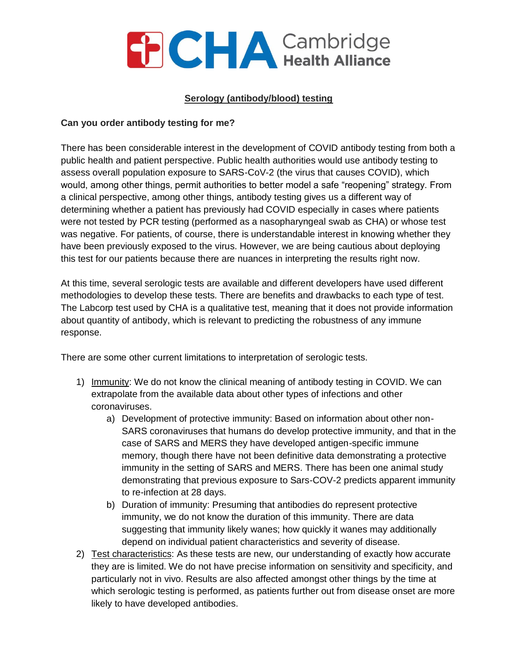#### **Serology (antibody/blood) testing**

#### **Can you order antibody testing for me?**

There has been considerable interest in the development of COVID antibody testing from both a public health and patient perspective. Public health authorities would use antibody testing to assess overall population exposure to SARS-CoV-2 (the virus that causes COVID), which would, among other things, permit authorities to better model a safe "reopening" strategy. From a clinical perspective, among other things, antibody testing gives us a different way of determining whether a patient has previously had COVID especially in cases where patients were not tested by PCR testing (performed as a nasopharyngeal swab as CHA) or whose test was negative. For patients, of course, there is understandable interest in knowing whether they have been previously exposed to the virus. However, we are being cautious about deploying this test for our patients because there are nuances in interpreting the results right now.

At this time, several serologic tests are available and different developers have used different methodologies to develop these tests. There are benefits and drawbacks to each type of test. The Labcorp test used by CHA is a qualitative test, meaning that it does not provide information about quantity of antibody, which is relevant to predicting the robustness of any immune response.

There are some other current limitations to interpretation of serologic tests.

- 1) Immunity: We do not know the clinical meaning of antibody testing in COVID. We can extrapolate from the available data about other types of infections and other coronaviruses.
	- a) Development of protective immunity: Based on information about other non-SARS coronaviruses that humans do develop protective immunity, and that in the case of SARS and MERS they have developed antigen-specific immune memory, though there have not been definitive data demonstrating a protective immunity in the setting of SARS and MERS. There has been one animal study demonstrating that previous exposure to Sars-COV-2 predicts apparent immunity to re-infection at 28 days.
	- b) Duration of immunity: Presuming that antibodies do represent protective immunity, we do not know the duration of this immunity. There are data suggesting that immunity likely wanes; how quickly it wanes may additionally depend on individual patient characteristics and severity of disease.
- 2) Test characteristics: As these tests are new, our understanding of exactly how accurate they are is limited. We do not have precise information on sensitivity and specificity, and particularly not in vivo. Results are also affected amongst other things by the time at which serologic testing is performed, as patients further out from disease onset are more likely to have developed antibodies.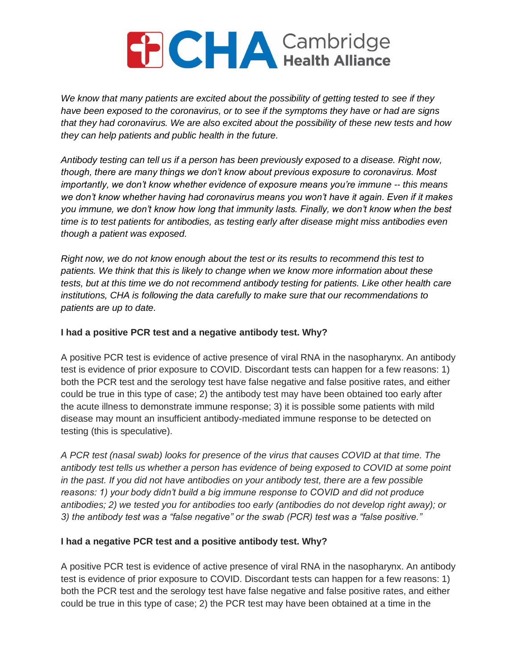*We know that many patients are excited about the possibility of getting tested to see if they have been exposed to the coronavirus, or to see if the symptoms they have or had are signs that they had coronavirus. We are also excited about the possibility of these new tests and how they can help patients and public health in the future.*

*Antibody testing can tell us if a person has been previously exposed to a disease. Right now, though, there are many things we don't know about previous exposure to coronavirus. Most importantly, we don't know whether evidence of exposure means you're immune -- this means we don't know whether having had coronavirus means you won't have it again. Even if it makes you immune, we don't know how long that immunity lasts. Finally, we don't know when the best time is to test patients for antibodies, as testing early after disease might miss antibodies even though a patient was exposed.*

*Right now, we do not know enough about the test or its results to recommend this test to patients. We think that this is likely to change when we know more information about these tests, but at this time we do not recommend antibody testing for patients. Like other health care institutions, CHA is following the data carefully to make sure that our recommendations to patients are up to date.*

#### **I had a positive PCR test and a negative antibody test. Why?**

A positive PCR test is evidence of active presence of viral RNA in the nasopharynx. An antibody test is evidence of prior exposure to COVID. Discordant tests can happen for a few reasons: 1) both the PCR test and the serology test have false negative and false positive rates, and either could be true in this type of case; 2) the antibody test may have been obtained too early after the acute illness to demonstrate immune response; 3) it is possible some patients with mild disease may mount an insufficient antibody-mediated immune response to be detected on testing (this is speculative).

*A PCR test (nasal swab) looks for presence of the virus that causes COVID at that time. The antibody test tells us whether a person has evidence of being exposed to COVID at some point in the past. If you did not have antibodies on your antibody test, there are a few possible reasons: 1) your body didn't build a big immune response to COVID and did not produce antibodies; 2) we tested you for antibodies too early (antibodies do not develop right away); or 3) the antibody test was a "false negative" or the swab (PCR) test was a "false positive."*

## **I had a negative PCR test and a positive antibody test. Why?**

A positive PCR test is evidence of active presence of viral RNA in the nasopharynx. An antibody test is evidence of prior exposure to COVID. Discordant tests can happen for a few reasons: 1) both the PCR test and the serology test have false negative and false positive rates, and either could be true in this type of case; 2) the PCR test may have been obtained at a time in the